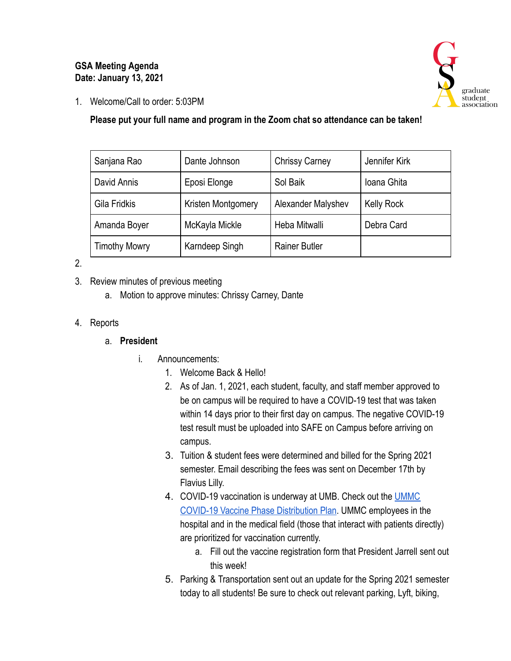### **GSA Meeting Agenda Date: January 13, 2021**



1. Welcome/Call to order: 5:03PM

### **Please put your full name and program in the Zoom chat so attendance can be taken!**

| Sanjana Rao          | Dante Johnson      | <b>Chrissy Carney</b> | Jennifer Kirk     |
|----------------------|--------------------|-----------------------|-------------------|
| David Annis          | Eposi Elonge       | Sol Baik              | Ioana Ghita       |
| Gila Fridkis         | Kristen Montgomery | Alexander Malyshev    | <b>Kelly Rock</b> |
| Amanda Boyer         | McKayla Mickle     | Heba Mitwalli         | Debra Card        |
| <b>Timothy Mowry</b> | Karndeep Singh     | <b>Rainer Butler</b>  |                   |

#### 2.

- 3. Review minutes of previous meeting
	- a. Motion to approve minutes: Chrissy Carney, Dante

## 4. Reports

### a. **President**

- i. Announcements:
	- 1. Welcome Back & Hello!
	- 2. As of Jan. 1, 2021, each student, faculty, and staff member approved to be on campus will be required to have a COVID-19 test that was taken within 14 days prior to their first day on campus. The negative COVID-19 test result must be uploaded into SAFE on Campus before arriving on campus.
	- 3. Tuition & student fees were determined and billed for the Spring 2021 semester. Email describing the fees was sent on December 17th by Flavius Lilly.
	- 4. COVID-19 vaccination is underway at UMB. Check out the [UMMC](https://nam11.safelinks.protection.outlook.com/?url=http%3A%2F%2Fs.bl-1.com%2Fh%2FdbZdvsYV%3Furl%3Dhttps%3A%2F%2Fwww.umms.org%2Fummc%2F-%2Fmedia%2Ffiles%2Fprivate%2Fumms%2Fcovid-vaccine%2Fcovid-19-vaccines-phased-distribution.pdf&data=04%7C01%7Cemily_smith%40pobox.umaryland.edu%7Cc0a3b0bbe7d042ea64a508d8b0d61e84%7C3dcdbc4a7e4c407b80f77fb6757182f2%7C0%7C0%7C637453780998335273%7CUnknown%7CTWFpbGZsb3d8eyJWIjoiMC4wLjAwMDAiLCJQIjoiV2luMzIiLCJBTiI6Ik1haWwiLCJXVCI6Mn0%3D%7C1000&sdata=%2FWwM%2F0bXPVeoiKVqn7g4egErYR%2BwjUkI0sJJnvstqxM%3D&reserved=0)  [COVID-19 Vaccine Phase Distribution Plan .](https://nam11.safelinks.protection.outlook.com/?url=http%3A%2F%2Fs.bl-1.com%2Fh%2FdbZdvsYV%3Furl%3Dhttps%3A%2F%2Fwww.umms.org%2Fummc%2F-%2Fmedia%2Ffiles%2Fprivate%2Fumms%2Fcovid-vaccine%2Fcovid-19-vaccines-phased-distribution.pdf&data=04%7C01%7Cemily_smith%40pobox.umaryland.edu%7Cc0a3b0bbe7d042ea64a508d8b0d61e84%7C3dcdbc4a7e4c407b80f77fb6757182f2%7C0%7C0%7C637453780998335273%7CUnknown%7CTWFpbGZsb3d8eyJWIjoiMC4wLjAwMDAiLCJQIjoiV2luMzIiLCJBTiI6Ik1haWwiLCJXVCI6Mn0%3D%7C1000&sdata=%2FWwM%2F0bXPVeoiKVqn7g4egErYR%2BwjUkI0sJJnvstqxM%3D&reserved=0) UMMC employees in the hospital and in the medical field (those that interact with patients directly) are prioritized for vaccination currently.
		- a. Fill out the vaccine registration form that President Jarrell sent out this week!
	- 5. Parking & Transportation sent out an update for the Spring 2021 semester today to all students! Be sure to check out relevant parking, Lyft, biking,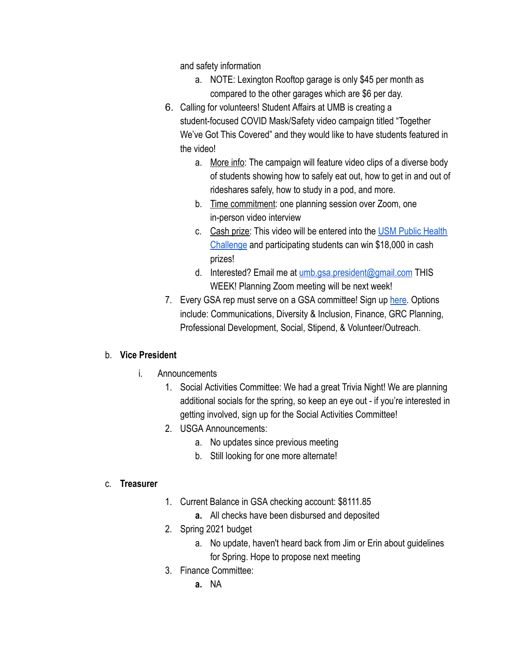and safety information

- a. NOTE: Lexington Rooftop garage is only \$45 per month as compared to the other garages which are \$6 per day.
- 6. Calling for volunteers! Student Affairs at UMB is creating a student-focused COVID Mask/Safety video campaign titled "Together We've Got This Covered" and they would like to have students featured in the video!
	- a. More info: The campaign will feature video clips of a diverse body of students showing how to safely eat out, how to get in and out of rideshares safely, how to study in a pod, and more.
	- b. Time commitment: one planning session over Zoom, one in-person video interview
	- c. Cash prize: This video will be entered into the USM Public Health [Challenge](https://www.usmd.edu/covid-taskforce/public-health-challenge) and participating students can win \$18,000 in cash prizes!
	- d. Interested? Email me at [umb.gsa.president@gmail.com](mailto:umb.gsa.president@gmail.com) THIS WEEK! Planning Zoom meeting will be next week!
- 7. Every GSA rep must serve on a GSA committee! Sign up here. Options include: Communications, Diversity & Inclusion, Finance, GRC Planning, Professional Development, Social, Stipend, & Volunteer/Outreach.

# b. **Vice President**

- i. Announcements
	- 1. Social Activities Committee: We had a great Trivia Night! We are planning additional socials for the spring, so keep an eye out - if you're interested in getting involved, sign up for the Social Activities Committee!
	- 2. USGA Announcements:
		- a. No updates since previous meeting
		- b. Still looking for one more alternate!

### c. **Treasurer**

- 1. Current Balance in GSA checking account: \$8111.85
	- **a.** All checks have been disbursed and deposited
- 2. Spring 2021 budget
	- a. No update, haven't heard back from Jim or Erin about guidelines for Spring. Hope to propose next meeting
- 3. Finance Committee:
	- **a.** NA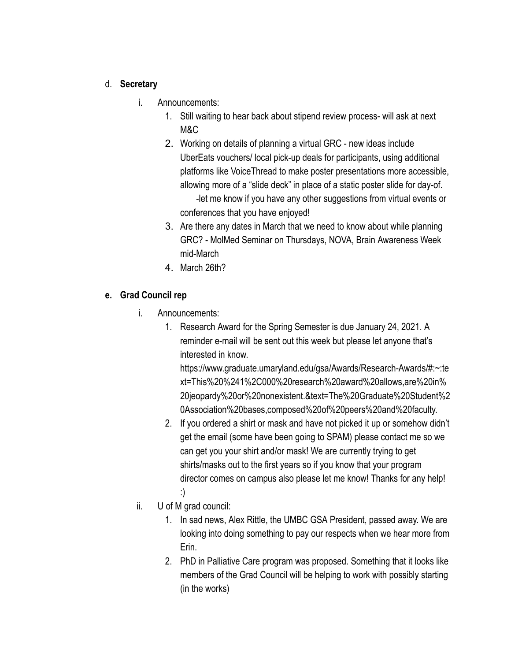#### d. **Secretary**

- i. Announcements:
	- 1. Still waiting to hear back about stipend review process- will ask at next M&C
	- 2. Working on details of planning a virtual GRC new ideas include UberEats vouchers/ local pick-up deals for participants, using additional platforms like VoiceThread to make poster presentations more accessible, allowing more of a "slide deck" in place of a static poster slide for day-of. -let me know if you have any other suggestions from virtual events or conferences that you have enjoyed!
	- 3. Are there any dates in March that we need to know about while planning GRC? - MolMed Seminar on Thursdays, NOVA, Brain Awareness Week mid-March
	- 4. March 26th?

## **e. Grad Council rep**

- i. Announcements:
	- 1. Research Award for the Spring Semester is due January 24, 2021. A reminder e-mail will be sent out this week but please let anyone that's interested in know.

https://www.graduate.umaryland.edu/gsa/Awards/Research-Awards/#:~:te xt=This%20%241%2C000%20research%20award%20allows,are%20in% 20jeopardy%20or%20nonexistent.&text=The%20Graduate%20Student%2 0Association%20bases,composed%20of%20peers%20and%20faculty.

- 2. If you ordered a shirt or mask and have not picked it up or somehow didn't get the email (some have been going to SPAM) please contact me so we can get you your shirt and/or mask! We are currently trying to get shirts/masks out to the first years so if you know that your program director comes on campus also please let me know! Thanks for any help! :)
- ii. U of M grad council:
	- 1. In sad news, Alex Rittle, the UMBC GSA President, passed away. We are looking into doing something to pay our respects when we hear more from Erin.
	- 2. PhD in Palliative Care program was proposed. Something that it looks like members of the Grad Council will be helping to work with possibly starting (in the works)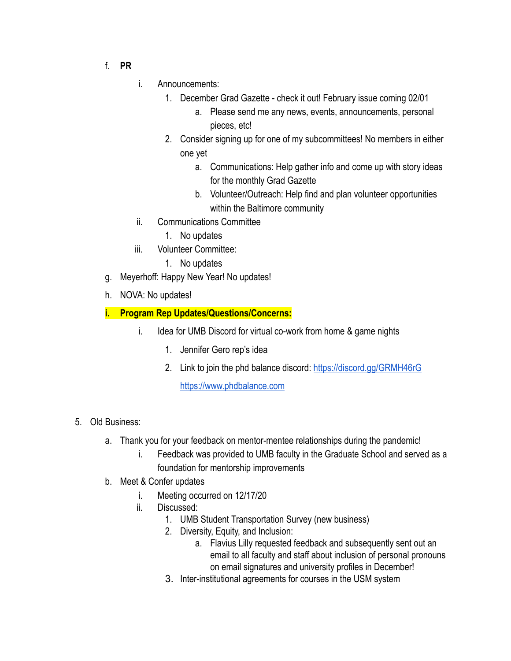- f. **PR**
- i. Announcements:
	- 1. December Grad Gazette check it out! February issue coming 02/01
		- a. Please send me any news, events, announcements, personal pieces, etc!
	- 2. Consider signing up for one of my subcommittees! No members in either one yet
		- a. Communications: Help gather info and come up with story ideas for the monthly Grad Gazette
		- b. Volunteer/Outreach: Help find and plan volunteer opportunities within the Baltimore community
- ii. Communications Committee
	- 1. No updates
- iii. Volunteer Committee:
	- 1. No updates
- g. Meyerhoff: Happy New Year! No updates!
- h. NOVA: No updates!

# **i. Program Rep Updates/Questions/Concerns:**

- i. Idea for UMB Discord for virtual co-work from home & game nights
	- 1. Jennifer Gero rep's idea
	- 2. Link to join the phd balance discord:<https://discord.gg/GRMH46rG>

[https://www.phdbalance.com](https://www.phdbalance.com/)

- 5. Old Business:
	- a. Thank you for your feedback on mentor-mentee relationships during the pandemic!
		- i. Feedback was provided to UMB faculty in the Graduate School and served as a foundation for mentorship improvements
	- b. Meet & Confer updates
		- i. Meeting occurred on 12/17/20
		- ii. Discussed:
			- 1. UMB Student Transportation Survey (new business)
			- 2. Diversity, Equity, and Inclusion:
				- a. Flavius Lilly requested feedback and subsequently sent out an email to all faculty and staff about inclusion of personal pronouns on email signatures and university profiles in December!
			- 3. Inter-institutional agreements for courses in the USM system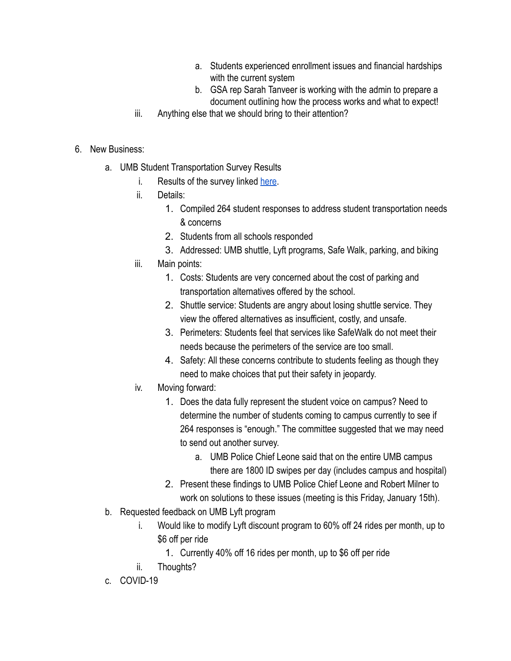- a. Students experienced enrollment issues and financial hardships with the current system
- b. GSA rep Sarah Tanveer is working with the admin to prepare a document outlining how the process works and what to expect!
- iii. Anything else that we should bring to their attention?
- 6. New Business:
	- a. UMB Student Transportation Survey Results
		- i. Results of the survey linked here.
		- ii. Details:
			- 1. Compiled 264 student responses to address student transportation needs & concerns
			- 2. Students from all schools responded
			- 3. Addressed: UMB shuttle, Lyft programs, Safe Walk, parking, and biking
		- iii. Main points:
			- 1. Costs: Students are very concerned about the cost of parking and transportation alternatives offered by the school.
			- 2. Shuttle service: Students are angry about losing shuttle service. They view the offered alternatives as insufficient, costly, and unsafe.
			- 3. Perimeters: Students feel that services like SafeWalk do not meet their needs because the perimeters of the service are too small.
			- 4. Safety: All these concerns contribute to students feeling as though they need to make choices that put their safety in jeopardy.
		- iv. Moving forward:
			- 1. Does the data fully represent the student voice on campus? Need to determine the number of students coming to campus currently to see if 264 responses is "enough." The committee suggested that we may need to send out another survey.
				- a. UMB Police Chief Leone said that on the entire UMB campus there are 1800 ID swipes per day (includes campus and hospital)
			- 2. Present these findings to UMB Police Chief Leone and Robert Milner to work on solutions to these issues (meeting is this Friday, January 15th).
	- b. Requested feedback on UMB Lyft program
		- i. Would like to modify Lyft discount program to 60% off 24 rides per month, up to \$6 off per ride
			- 1. Currently 40% off 16 rides per month, up to \$6 off per ride
		- ii. Thoughts?
	- c. COVID-19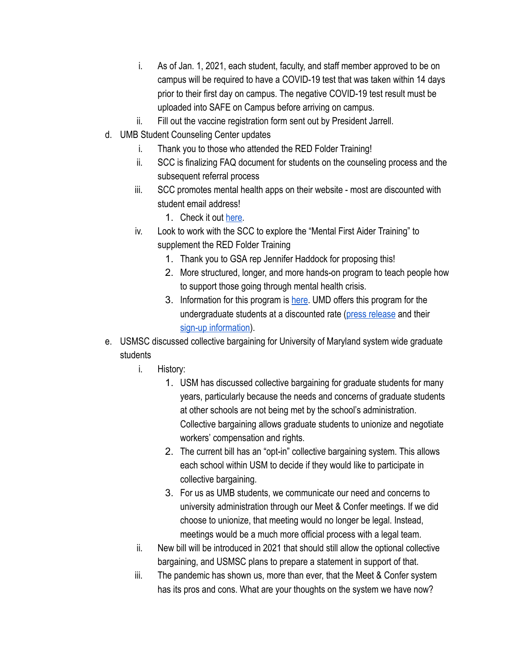- i. As of Jan. 1, 2021, each student, faculty, and staff member approved to be on campus will be required to have a COVID-19 test that was taken within 14 days prior to their first day on campus. The negative COVID-19 test result must be uploaded into SAFE on Campus before arriving on campus.
- ii. Fill out the vaccine registration form sent out by President Jarrell.
- d. UMB Student Counseling Center updates
	- i. Thank you to those who attended the RED Folder Training!
	- ii. SCC is finalizing FAQ document for students on the counseling process and the subsequent referral process
	- iii. SCC promotes mental health apps on their website most are discounted with student email address!
		- 1. Check it out [here](https://www.umaryland.edu/counseling/therapy-and-self-help-resources/self-care-apps/).
	- iv. Look to work with the SCC to explore the "Mental First Aider Training" to supplement the RED Folder Training
		- 1. Thank you to GSA rep Jennifer Haddock for proposing this!
		- 2. More structured, longer, and more hands-on program to teach people how to support those going through mental health crisis.
		- 3. Information for this program is [here](https://www.mentalhealthfirstaid.org/). UMD offers this program for the undergraduate students at a discounted rate (press release and their sign-up information).
- e. USMSC discussed collective bargaining for University of Maryland system wide graduate students
	- i. History:
		- 1. USM has discussed collective bargaining for graduate students for many years, particularly because the needs and concerns of graduate students at other schools are not being met by the school's administration. Collective bargaining allows graduate students to unionize and negotiate workers' compensation and rights.
		- 2. The current bill has an "opt-in" collective bargaining system. This allows each school within USM to decide if they would like to participate in collective bargaining.
		- 3. For us as UMB students, we communicate our need and concerns to university administration through our Meet & Confer meetings. If we did choose to unionize, that meeting would no longer be legal. Instead, meetings would be a much more official process with a legal team.
	- ii. New bill will be introduced in 2021 that should still allow the optional collective bargaining, and USMSC plans to prepare a statement in support of that.
	- iii. The pandemic has shown us, more than ever, that the Meet & Confer system has its pros and cons. What are your thoughts on the system we have now?